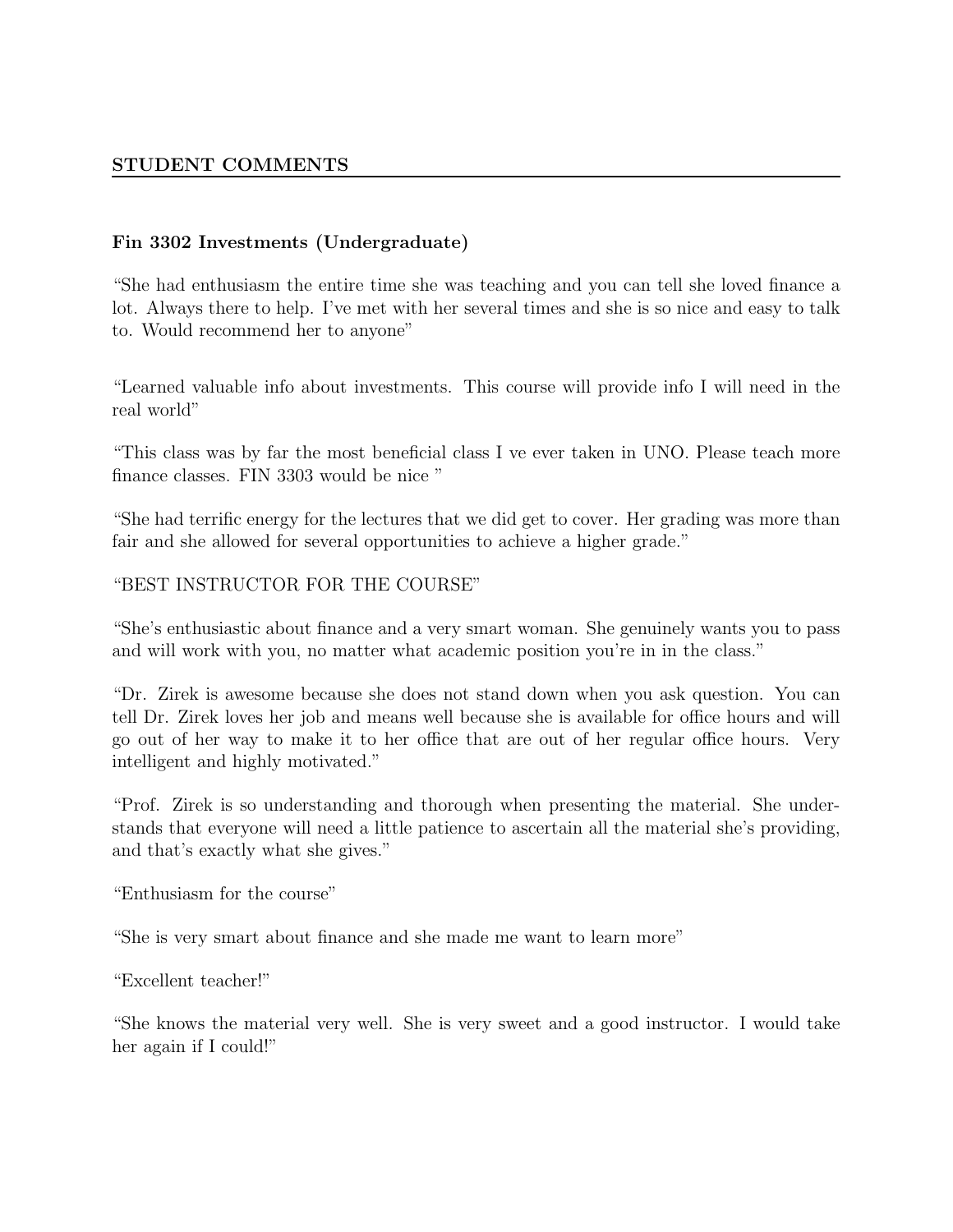### Fin 3302 Investments (Undergraduate)

"She had enthusiasm the entire time she was teaching and you can tell she loved finance a lot. Always there to help. I've met with her several times and she is so nice and easy to talk to. Would recommend her to anyone"

"Learned valuable info about investments. This course will provide info I will need in the real world"

"This class was by far the most beneficial class I ve ever taken in UNO. Please teach more finance classes. FIN 3303 would be nice "

"She had terrific energy for the lectures that we did get to cover. Her grading was more than fair and she allowed for several opportunities to achieve a higher grade."

"BEST INSTRUCTOR FOR THE COURSE"

"She's enthusiastic about finance and a very smart woman. She genuinely wants you to pass and will work with you, no matter what academic position you're in in the class."

"Dr. Zirek is awesome because she does not stand down when you ask question. You can tell Dr. Zirek loves her job and means well because she is available for office hours and will go out of her way to make it to her office that are out of her regular office hours. Very intelligent and highly motivated."

"Prof. Zirek is so understanding and thorough when presenting the material. She understands that everyone will need a little patience to ascertain all the material she's providing, and that's exactly what she gives."

"Enthusiasm for the course"

"She is very smart about finance and she made me want to learn more"

"Excellent teacher!"

"She knows the material very well. She is very sweet and a good instructor. I would take her again if I could!"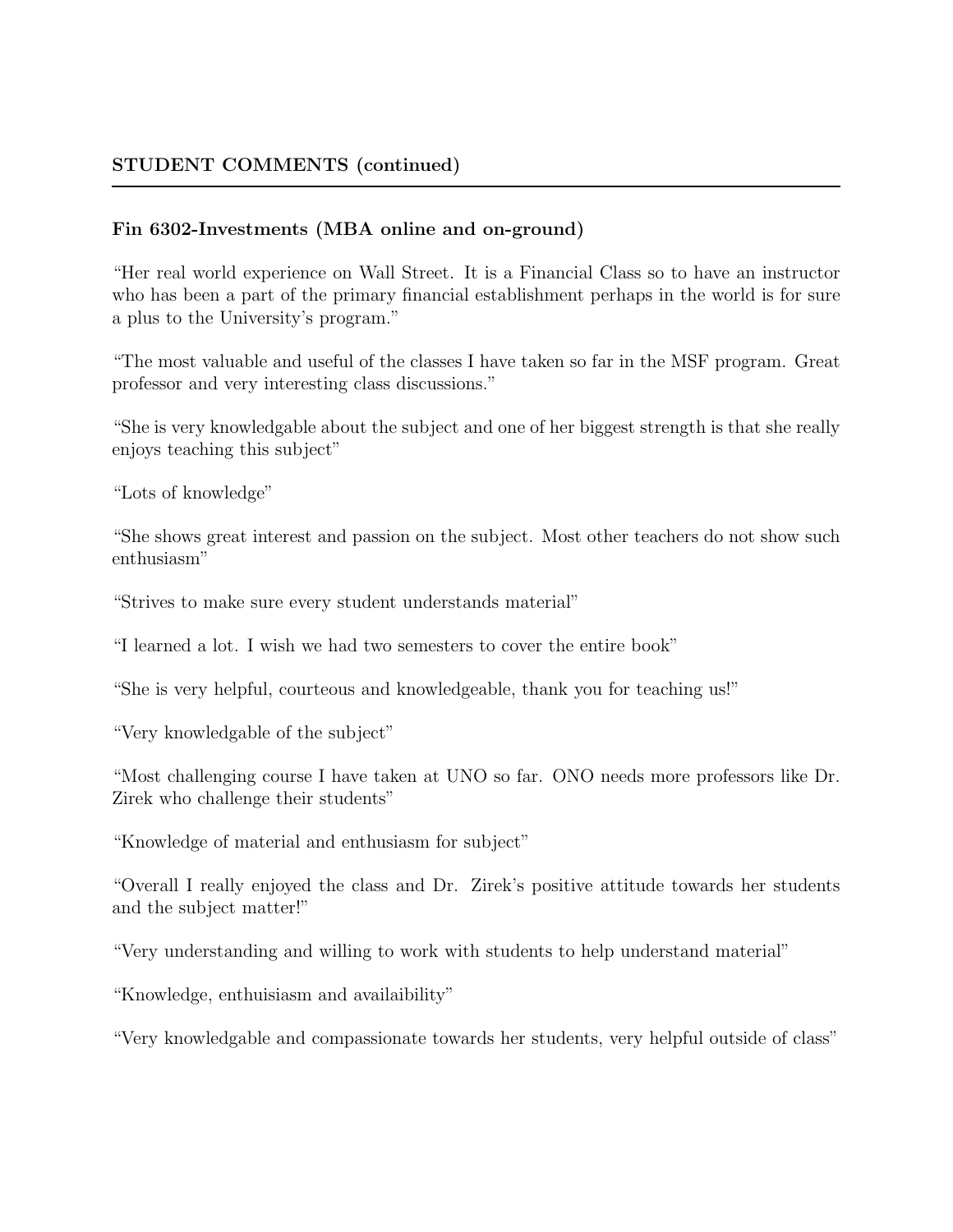#### Fin 6302-Investments (MBA online and on-ground)

"Her real world experience on Wall Street. It is a Financial Class so to have an instructor who has been a part of the primary financial establishment perhaps in the world is for sure a plus to the University's program."

"The most valuable and useful of the classes I have taken so far in the MSF program. Great professor and very interesting class discussions."

"She is very knowledgable about the subject and one of her biggest strength is that she really enjoys teaching this subject"

"Lots of knowledge"

"She shows great interest and passion on the subject. Most other teachers do not show such enthusiasm"

"Strives to make sure every student understands material"

"I learned a lot. I wish we had two semesters to cover the entire book"

"She is very helpful, courteous and knowledgeable, thank you for teaching us!"

"Very knowledgable of the subject"

"Most challenging course I have taken at UNO so far. ONO needs more professors like Dr. Zirek who challenge their students"

"Knowledge of material and enthusiasm for subject"

"Overall I really enjoyed the class and Dr. Zirek's positive attitude towards her students and the subject matter!"

"Very understanding and willing to work with students to help understand material"

"Knowledge, enthuisiasm and availaibility"

"Very knowledgable and compassionate towards her students, very helpful outside of class"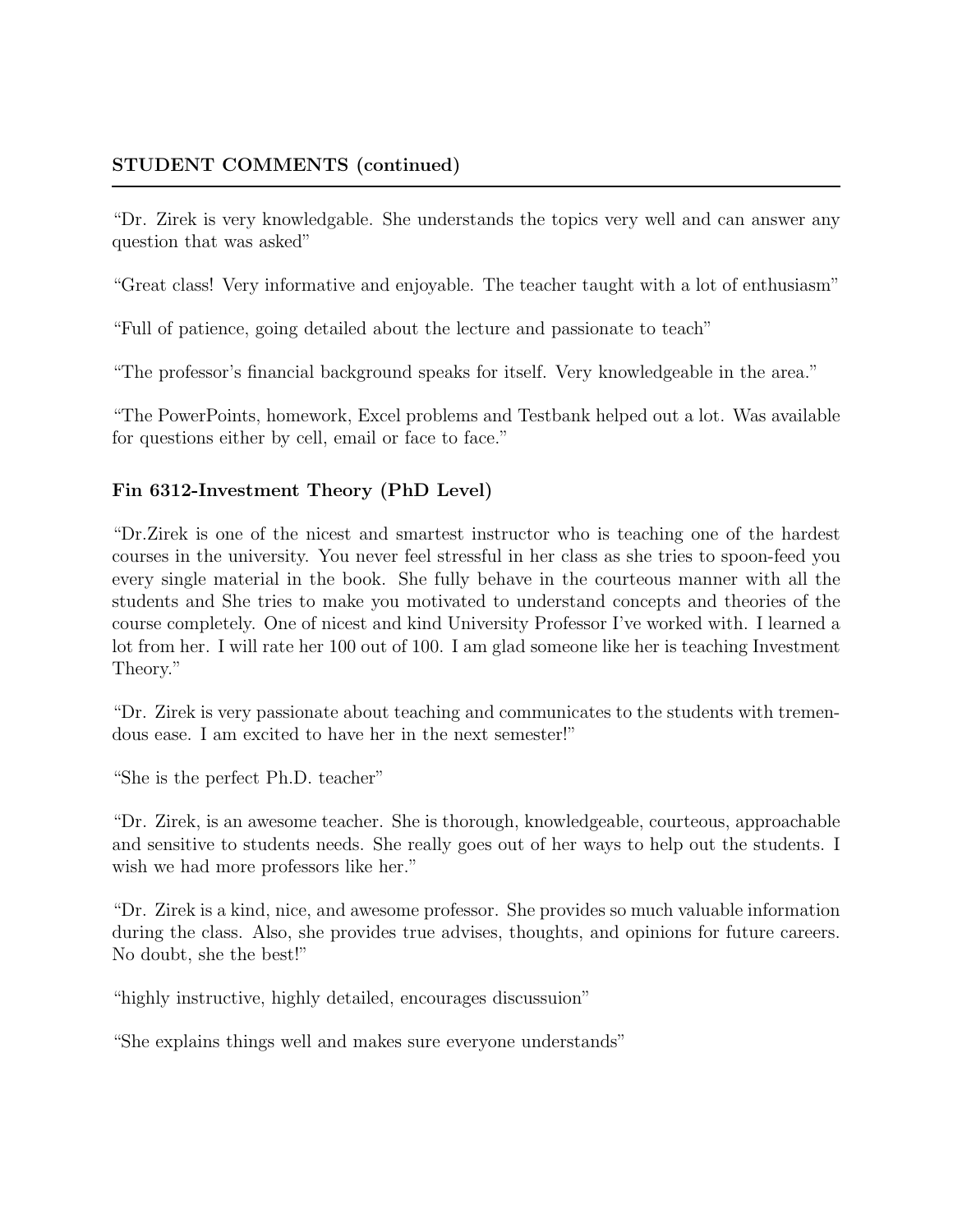"Dr. Zirek is very knowledgable. She understands the topics very well and can answer any question that was asked"

"Great class! Very informative and enjoyable. The teacher taught with a lot of enthusiasm"

"Full of patience, going detailed about the lecture and passionate to teach"

"The professor's financial background speaks for itself. Very knowledgeable in the area."

"The PowerPoints, homework, Excel problems and Testbank helped out a lot. Was available for questions either by cell, email or face to face."

#### Fin 6312-Investment Theory (PhD Level)

"Dr.Zirek is one of the nicest and smartest instructor who is teaching one of the hardest courses in the university. You never feel stressful in her class as she tries to spoon-feed you every single material in the book. She fully behave in the courteous manner with all the students and She tries to make you motivated to understand concepts and theories of the course completely. One of nicest and kind University Professor I've worked with. I learned a lot from her. I will rate her 100 out of 100. I am glad someone like her is teaching Investment Theory."

"Dr. Zirek is very passionate about teaching and communicates to the students with tremendous ease. I am excited to have her in the next semester!"

"She is the perfect Ph.D. teacher"

"Dr. Zirek, is an awesome teacher. She is thorough, knowledgeable, courteous, approachable and sensitive to students needs. She really goes out of her ways to help out the students. I wish we had more professors like her."

"Dr. Zirek is a kind, nice, and awesome professor. She provides so much valuable information during the class. Also, she provides true advises, thoughts, and opinions for future careers. No doubt, she the best!"

"highly instructive, highly detailed, encourages discussuion"

"She explains things well and makes sure everyone understands"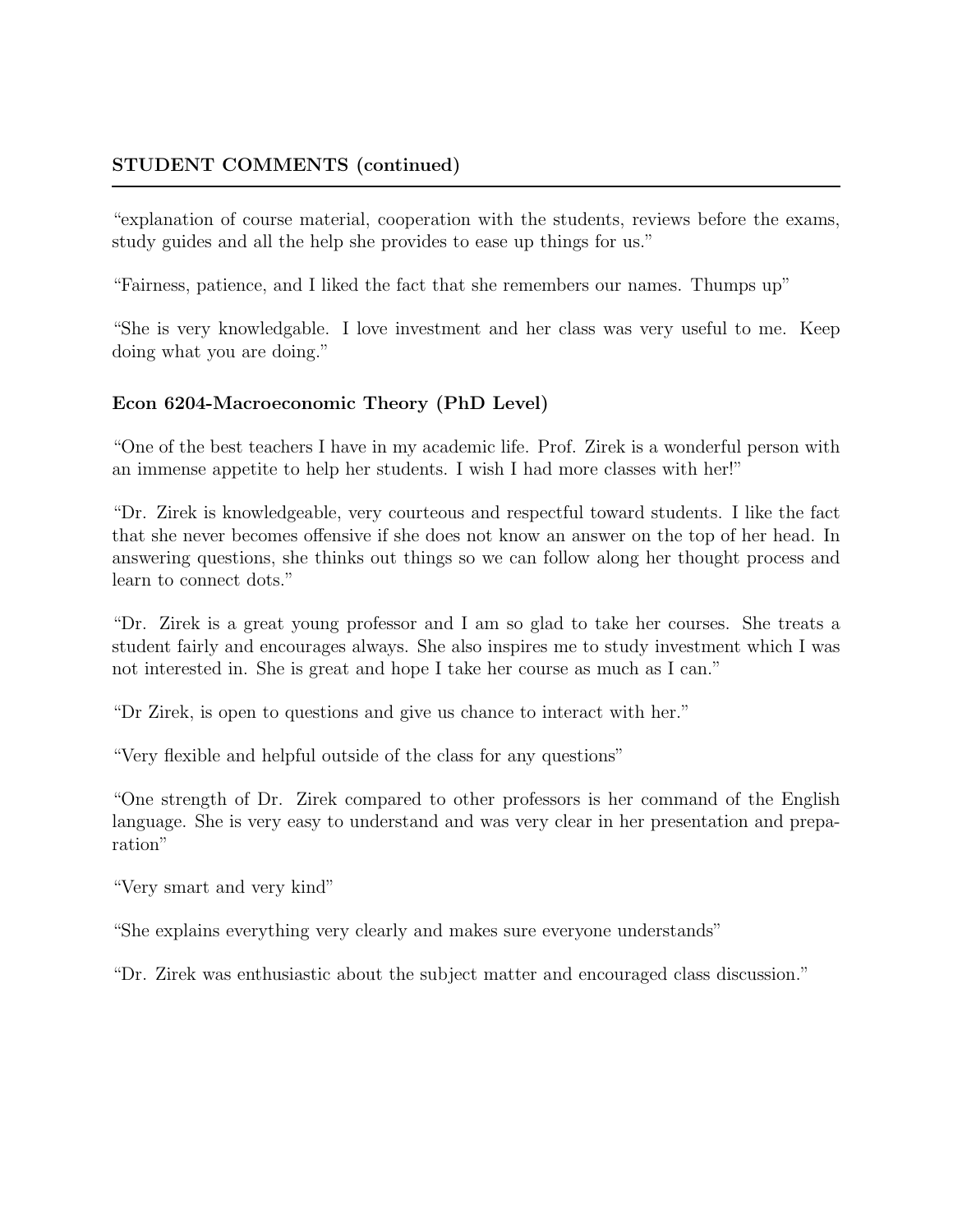#### STUDENT COMMENTS (continued)

"explanation of course material, cooperation with the students, reviews before the exams, study guides and all the help she provides to ease up things for us."

"Fairness, patience, and I liked the fact that she remembers our names. Thumps up"

"She is very knowledgable. I love investment and her class was very useful to me. Keep doing what you are doing."

## Econ 6204-Macroeconomic Theory (PhD Level)

"One of the best teachers I have in my academic life. Prof. Zirek is a wonderful person with an immense appetite to help her students. I wish I had more classes with her!"

"Dr. Zirek is knowledgeable, very courteous and respectful toward students. I like the fact that she never becomes of fensive if she does not know an answer on the top of her head. In answering questions, she thinks out things so we can follow along her thought process and learn to connect dots."

"Dr. Zirek is a great young professor and I am so glad to take her courses. She treats a student fairly and encourages always. She also inspires me to study investment which I was not interested in. She is great and hope I take her course as much as I can."

"Dr Zirek, is open to questions and give us chance to interact with her."

"Very flexible and helpful outside of the class for any questions"

"One strength of Dr. Zirek compared to other professors is her command of the English language. She is very easy to understand and was very clear in her presentation and preparation"

"Very smart and very kind"

"She explains everything very clearly and makes sure everyone understands"

"Dr. Zirek was enthusiastic about the subject matter and encouraged class discussion."